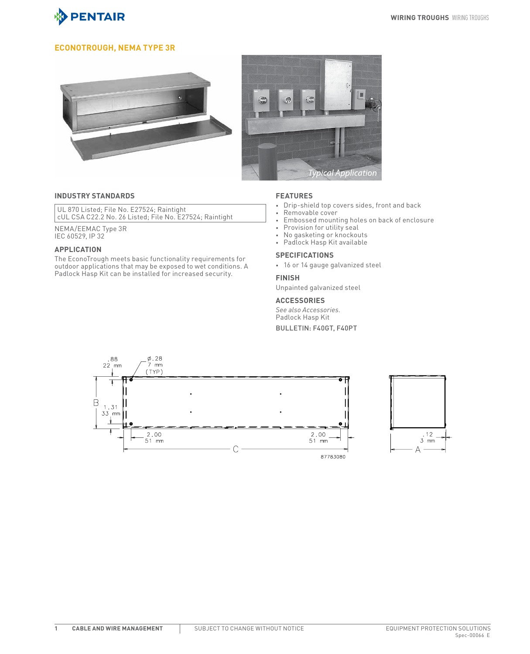

## **EconoTrough, NEMA Type 3R**





#### **INDUSTRY STANDARDS**

UL 870 Listed; File No. E27524; Raintight cUL CSA C22.2 No. 26 Listed; File No. E27524; Raintight

NEMA/EEMAC Type 3R IEC 60529, IP 32

### **APPLICATION**

The EconoTrough meets basic functionality requirements for outdoor applications that may be exposed to wet conditions. A Padlock Hasp Kit can be installed for increased security.

#### **FEATURES**

- Drip-shield top covers sides, front and back
- Removable cover<br>• Embossed mount
- Embossed mounting holes on back of enclosure
- Provision for utility seal
- No gasketing or knockouts
- Padlock Hasp Kit available

#### **SPECIFICATIONS**

• 16 or 14 gauge galvanized steel

#### **FINISH**

Unpainted galvanized steel

#### **ACCESSORIES**

*See also Accessories.* Padlock Hasp Kit Bulletin: F40GT, F40PT